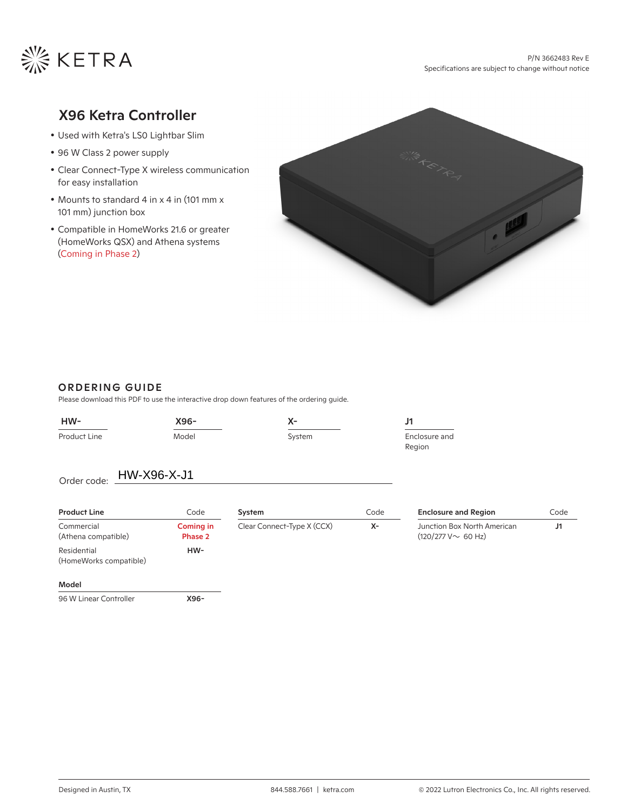

# X96 Ketra Controller

- Used with Ketra's LS0 Lightbar Slim
- 96 W Class 2 power supply
- Clear Connect-Type X wireless communication for easy installation
- Mounts to standard 4 in x 4 in (101 mm x 101 mm) junction box
- Compatible in HomeWorks 21.6 or greater (HomeWorks QSX) and Athena systems (Coming in Phase 2)



## ORDERING GUIDE

Please download this PDF to use the interactive drop down features of the ordering guide.

| $HW-$                                 | X96-                        | X-                         |      | J1                                                      |      |
|---------------------------------------|-----------------------------|----------------------------|------|---------------------------------------------------------|------|
| Product Line                          | Model                       | System                     |      | Enclosure and<br>Region                                 |      |
| HW-X96-X-J1<br>Order code:            |                             |                            |      |                                                         |      |
| <b>Product Line</b>                   | Code                        | System                     | Code | <b>Enclosure and Region</b>                             | Code |
| Commercial<br>(Athena compatible)     | <b>Coming in</b><br>Phase 2 | Clear Connect-Type X (CCX) | $X-$ | Junction Box North American<br>$(120/277 V \sim 60 Hz)$ | J1   |
| Residential<br>(HomeWorks compatible) | HW-                         |                            |      |                                                         |      |
| Model                                 |                             |                            |      |                                                         |      |
| 96 W Linear Controller                | X96-                        |                            |      |                                                         |      |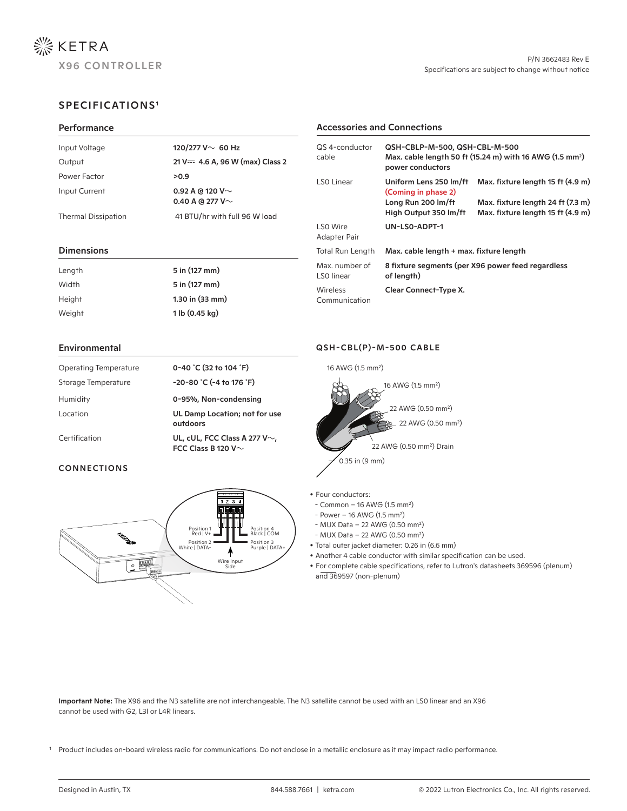

Max. fixture length 24 ft (7.3 m) Max. fixture length 15 ft (4.9 m)

QSH-CBLP-M-500, QSH-CBL-M-500

LS0 Linear **Uniform Lens 250 lm/ft** Max. fixture length 15 ft (4.9 m)

power conductors

(Coming in phase 2) Long Run 200 lm/ft High Output 350 lm/ft

UN-LS0-ADPT-1

Total Run Length Max. cable length + max. fixture length

Max. cable length 50 ft (15.24 m) with 16 AWG (1.5 mm2 )

## SPECIFICATIONS1

#### **Performance**

| Input Voltage              | 120/277 V $\sim$ 60 Hz                         |
|----------------------------|------------------------------------------------|
| Output                     | $21 V = 4.6 A$ , 96 W (max) Class 2            |
| Power Factor               | >0.9                                           |
| Input Current              | 0.92 A @ 120 V $\sim$<br>0.40 A @ 277 V $\sim$ |
| <b>Thermal Dissipation</b> | 41 BTU/hr with full 96 W load                  |

#### Dimensions

| Length | 5 in (127 mm)       | Max. number of<br>LSO linear | 8 fixture segments (per X96 power feed regardless<br>of length) |
|--------|---------------------|------------------------------|-----------------------------------------------------------------|
| Width  | 5 in (127 mm)       | Wireless<br>Communication    | Clear Connect-Type X.                                           |
| Height | $1.30$ in $(33$ mm) |                              |                                                                 |
| Weight | 1 lb (0.45 kg)      |                              |                                                                 |

#### Environmental

| Operating Temperature | 0-40 °C (32 to 104 °F)                                          |
|-----------------------|-----------------------------------------------------------------|
| Storage Temperature   | $-20-80$ °C (-4 to 176 °F)                                      |
| Humidity              | 0-95%, Non-condensing                                           |
| Location              | UL Damp Location; not for use<br>outdoors                       |
| Certification         | UL, cUL, FCC Class A 277 V $\sim$ ,<br>FCC Class B 120 V $\sim$ |

## CONNECTIONS



### QSH-CBL(P)-M-500 CABLE

Accessories and Connections

QS 4-conductor

cable

LS0 Wire Adapter Pair



- Four conductors:
- Common 16 AWG (1.5 mm²)
- Power 16 AWG (1.5 mm²)
- MUX Data 22 AWG (0.50 mm²)
- MUX Data 22 AWG (0.50 mm²)
- <sup>r</sup> Total outer jacket diameter: 0.26 in (6.6 mm)
- Another 4 cable conductor with similar specification can be used.
- <sup>r</sup> For complete cable specifications, refer to Lutron's datasheets 369596 (plenum) and 369597 (non-plenum)

Important Note: The X96 and the N3 satellite are not interchangeable. The N3 satellite cannot be used with an LS0 linear and an X96 cannot be used with G2, L3I or L4R linears.

Product includes on-board wireless radio for communications. Do not enclose in a metallic enclosure as it may impact radio performance.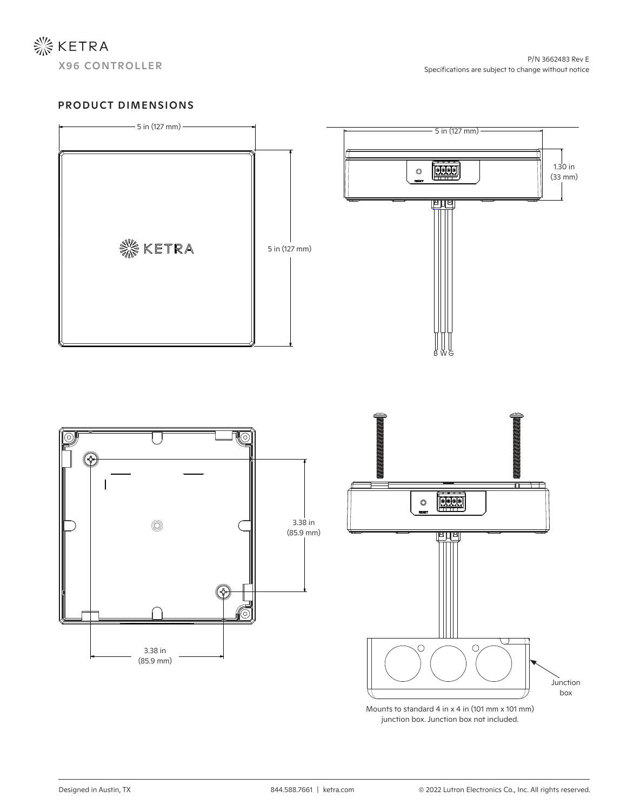

## PRODUCT DIMENSIONS



Mounts to standard 4 in x 4 in (101 mm x 101 mm) junction box. Junction box not included.